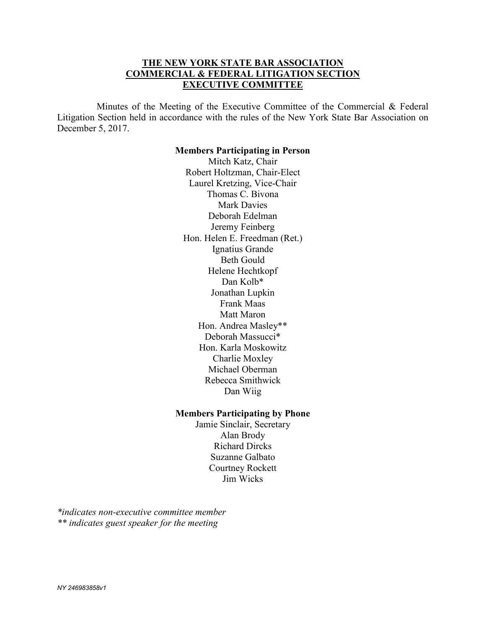# **THE NEW YORK STATE BAR ASSOCIATION COMMERCIAL & FEDERAL LITIGATION SECTION EXECUTIVE COMMITTEE**

 Minutes of the Meeting of the Executive Committee of the Commercial & Federal Litigation Section held in accordance with the rules of the New York State Bar Association on December 5, 2017.

#### **Members Participating in Person**

Mitch Katz, Chair Robert Holtzman, Chair-Elect Laurel Kretzing, Vice-Chair Thomas C. Bivona Mark Davies Deborah Edelman Jeremy Feinberg Hon. Helen E. Freedman (Ret.) Ignatius Grande Beth Gould Helene Hechtkopf Dan Kolb\* Jonathan Lupkin Frank Maas Matt Maron Hon. Andrea Masley\*\* Deborah Massucci\* Hon. Karla Moskowitz Charlie Moxley Michael Oberman Rebecca Smithwick Dan Wiig

#### **Members Participating by Phone**

Jamie Sinclair, Secretary Alan Brody Richard Dircks Suzanne Galbato Courtney Rockett Jim Wicks

*\*indicates non-executive committee member \*\* indicates guest speaker for the meeting*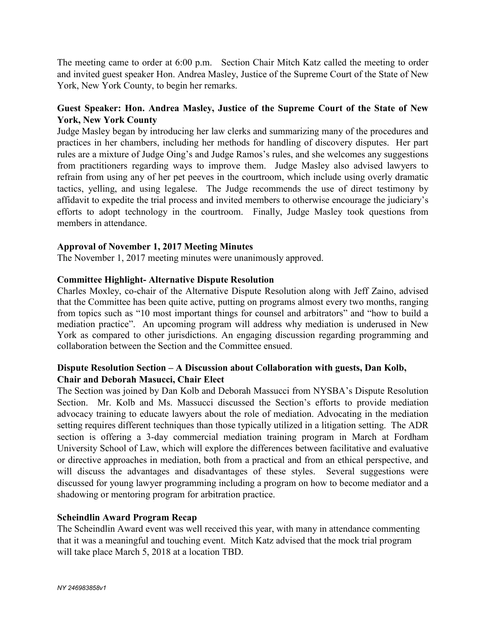The meeting came to order at 6:00 p.m. Section Chair Mitch Katz called the meeting to order and invited guest speaker Hon. Andrea Masley, Justice of the Supreme Court of the State of New York, New York County, to begin her remarks.

# **Guest Speaker: Hon. Andrea Masley, Justice of the Supreme Court of the State of New York, New York County**

Judge Masley began by introducing her law clerks and summarizing many of the procedures and practices in her chambers, including her methods for handling of discovery disputes. Her part rules are a mixture of Judge Oing's and Judge Ramos's rules, and she welcomes any suggestions from practitioners regarding ways to improve them. Judge Masley also advised lawyers to refrain from using any of her pet peeves in the courtroom, which include using overly dramatic tactics, yelling, and using legalese. The Judge recommends the use of direct testimony by affidavit to expedite the trial process and invited members to otherwise encourage the judiciary's efforts to adopt technology in the courtroom. Finally, Judge Masley took questions from members in attendance.

# **Approval of November 1, 2017 Meeting Minutes**

The November 1, 2017 meeting minutes were unanimously approved.

## **Committee Highlight- Alternative Dispute Resolution**

Charles Moxley, co-chair of the Alternative Dispute Resolution along with Jeff Zaino, advised that the Committee has been quite active, putting on programs almost every two months, ranging from topics such as "10 most important things for counsel and arbitrators" and "how to build a mediation practice". An upcoming program will address why mediation is underused in New York as compared to other jurisdictions. An engaging discussion regarding programming and collaboration between the Section and the Committee ensued.

# **Dispute Resolution Section – A Discussion about Collaboration with guests, Dan Kolb, Chair and Deborah Masucci, Chair Elect**

The Section was joined by Dan Kolb and Deborah Massucci from NYSBA's Dispute Resolution Section. Mr. Kolb and Ms. Massucci discussed the Section's efforts to provide mediation advocacy training to educate lawyers about the role of mediation. Advocating in the mediation setting requires different techniques than those typically utilized in a litigation setting. The ADR section is offering a 3-day commercial mediation training program in March at Fordham University School of Law, which will explore the differences between facilitative and evaluative or directive approaches in mediation, both from a practical and from an ethical perspective, and will discuss the advantages and disadvantages of these styles. Several suggestions were discussed for young lawyer programming including a program on how to become mediator and a shadowing or mentoring program for arbitration practice.

## **Scheindlin Award Program Recap**

The Scheindlin Award event was well received this year, with many in attendance commenting that it was a meaningful and touching event. Mitch Katz advised that the mock trial program will take place March 5, 2018 at a location TBD.